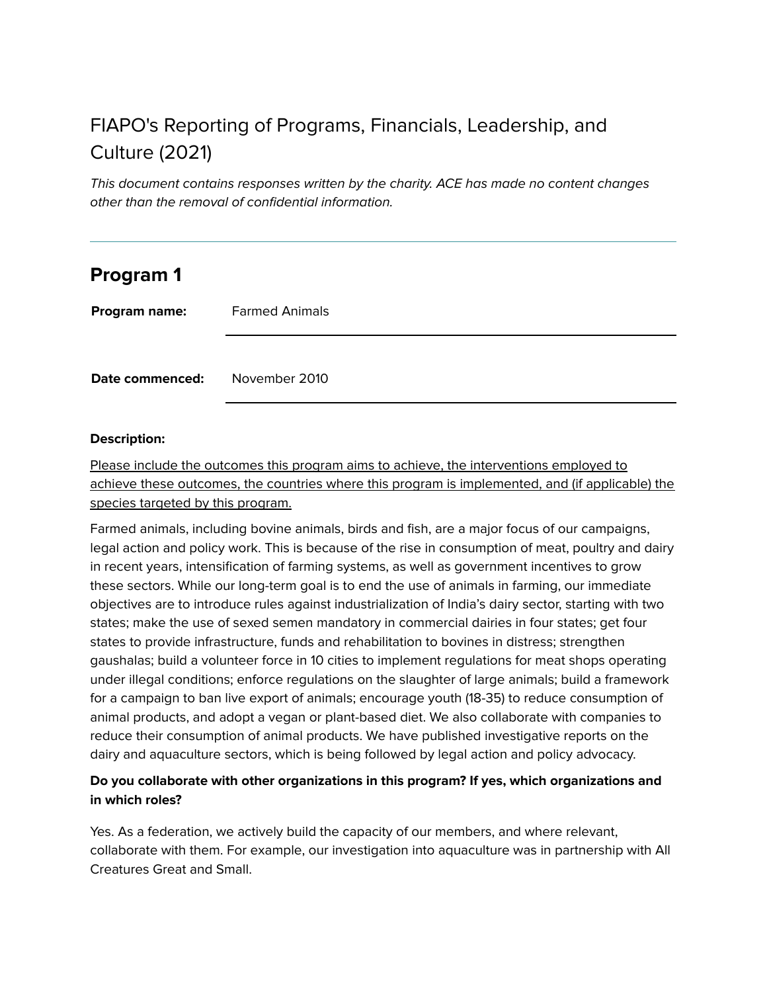# FIAPO's Reporting of Programs, Financials, Leadership, and Culture (2021)

This document contains responses written by the charity. ACE has made no content changes other than the removal of confidential information.

## **Program 1**

**Program name:** Farmed Animals

**Date commenced:** November 2010

#### **Description:**

Please include the outcomes this program aims to achieve, the interventions employed to achieve these outcomes, the countries where this program is implemented, and (if applicable) the species targeted by this program.

Farmed animals, including bovine animals, birds and fish, are a major focus of our campaigns, legal action and policy work. This is because of the rise in consumption of meat, poultry and dairy in recent years, intensification of farming systems, as well as government incentives to grow these sectors. While our long-term goal is to end the use of animals in farming, our immediate objectives are to introduce rules against industrialization of India's dairy sector, starting with two states; make the use of sexed semen mandatory in commercial dairies in four states; get four states to provide infrastructure, funds and rehabilitation to bovines in distress; strengthen gaushalas; build a volunteer force in 10 cities to implement regulations for meat shops operating under illegal conditions; enforce regulations on the slaughter of large animals; build a framework for a campaign to ban live export of animals; encourage youth (18-35) to reduce consumption of animal products, and adopt a vegan or plant-based diet. We also collaborate with companies to reduce their consumption of animal products. We have published investigative reports on the dairy and aquaculture sectors, which is being followed by legal action and policy advocacy.

#### **Do you collaborate with other organizations in this program? If yes, which organizations and in which roles?**

Yes. As a federation, we actively build the capacity of our members, and where relevant, collaborate with them. For example, our investigation into aquaculture was in partnership with All Creatures Great and Small.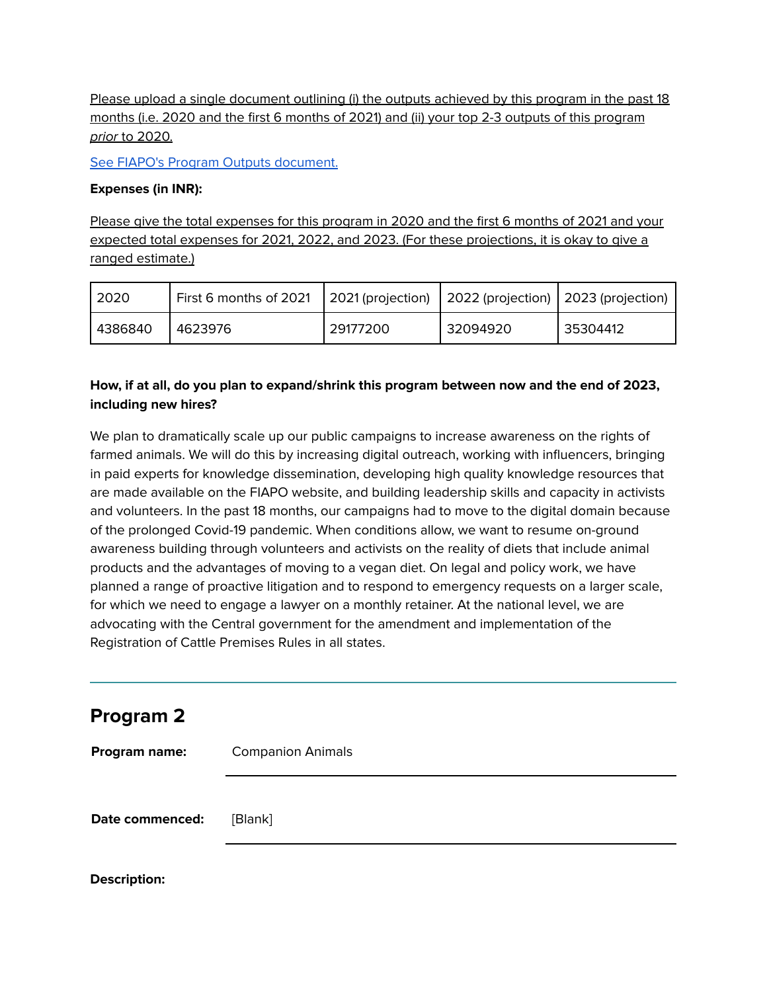Please upload a single document outlining (i) the outputs achieved by this program in the past 18 months (i.e. 2020 and the first 6 months of 2021) and (ii) your top 2-3 outputs of this program prior to 2020.

See FIAPO's Program Outputs [document.](https://animalcharityevaluators.org/wp-content/uploads/2021/11/fiapo-program-outputs-2021.pdf)

#### **Expenses (in INR):**

**Description:**

Please give the total expenses for this program in 2020 and the first 6 months of 2021 and your expected total expenses for 2021, 2022, and 2023. (For these projections, it is okay to give a ranged estimate.)

| 2020    | First 6 months of 2021 |          | 2021 (projection) 2022 (projection) 2023 (projection) |          |
|---------|------------------------|----------|-------------------------------------------------------|----------|
| 4386840 | 4623976                | 29177200 | 32094920                                              | 35304412 |

## **How, if at all, do you plan to expand/shrink this program between now and the end of 2023, including new hires?**

We plan to dramatically scale up our public campaigns to increase awareness on the rights of farmed animals. We will do this by increasing digital outreach, working with influencers, bringing in paid experts for knowledge dissemination, developing high quality knowledge resources that are made available on the FIAPO website, and building leadership skills and capacity in activists and volunteers. In the past 18 months, our campaigns had to move to the digital domain because of the prolonged Covid-19 pandemic. When conditions allow, we want to resume on-ground awareness building through volunteers and activists on the reality of diets that include animal products and the advantages of moving to a vegan diet. On legal and policy work, we have planned a range of proactive litigation and to respond to emergency requests on a larger scale, for which we need to engage a lawyer on a monthly retainer. At the national level, we are advocating with the Central government for the amendment and implementation of the Registration of Cattle Premises Rules in all states.

| <b>Program 2</b>       |                          |
|------------------------|--------------------------|
| Program name:          | <b>Companion Animals</b> |
| <b>Date commenced:</b> | [Blank]                  |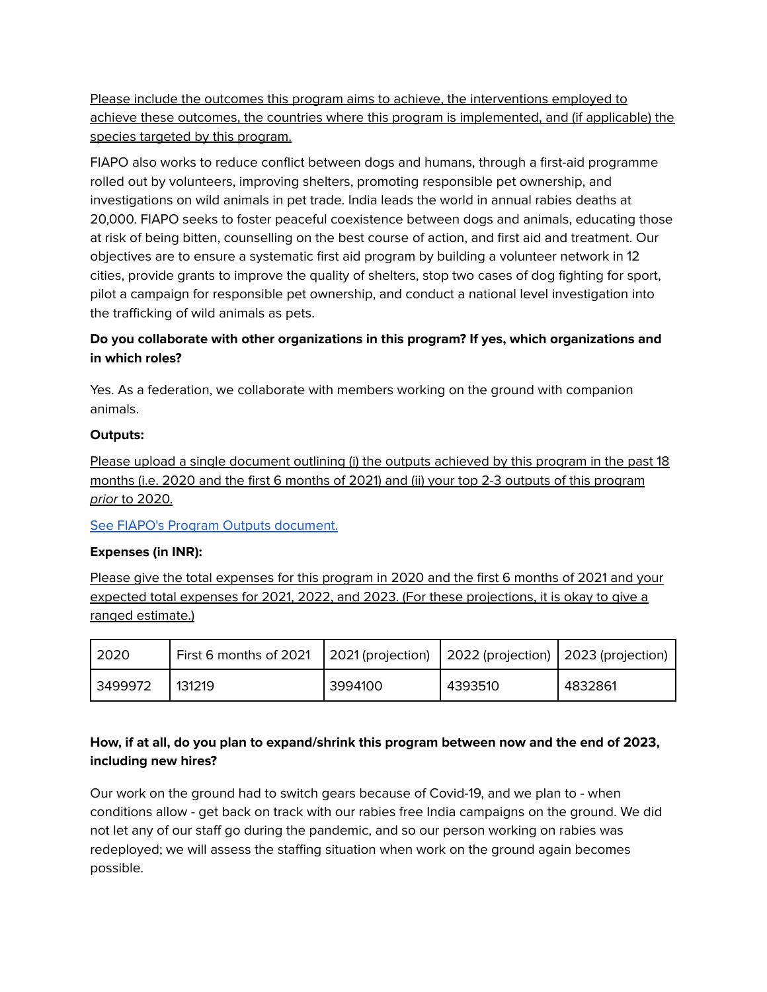Please include the outcomes this program aims to achieve, the interventions employed to achieve these outcomes, the countries where this program is implemented, and (if applicable) the species targeted by this program.

FIAPO also works to reduce conflict between dogs and humans, through a first-aid programme rolled out by volunteers, improving shelters, promoting responsible pet ownership, and investigations on wild animals in pet trade. India leads the world in annual rabies deaths at 20,000. FIAPO seeks to foster peaceful coexistence between dogs and animals, educating those at risk of being bitten, counselling on the best course of action, and first aid and treatment. Our objectives are to ensure a systematic first aid program by building a volunteer network in 12 cities, provide grants to improve the quality of shelters, stop two cases of dog fighting for sport, pilot a campaign for responsible pet ownership, and conduct a national level investigation into the trafficking of wild animals as pets.

### **Do you collaborate with other organizations in this program? If yes, which organizations and in which roles?**

Yes. As a federation, we collaborate with members working on the ground with companion animals.

#### **Outputs:**

Please upload a single document outlining (i) the outputs achieved by this program in the past 18 months (i.e. 2020 and the first 6 months of 2021) and (ii) your top 2-3 outputs of this program prior to 2020.

See FIAPO's Program Outputs [document.](https://animalcharityevaluators.org/wp-content/uploads/2021/11/fiapo-program-outputs-2021.pdf)

### **Expenses (in INR):**

Please give the total expenses for this program in 2020 and the first 6 months of 2021 and your expected total expenses for 2021, 2022, and 2023. (For these projections, it is okay to give a ranged estimate.)

| 2020    | First 6 months of 2021 |         | 2021 (projection)   2022 (projection)   2023 (projection) |         |
|---------|------------------------|---------|-----------------------------------------------------------|---------|
| 3499972 | 131219                 | 3994100 | 4393510                                                   | 4832861 |

## **How, if at all, do you plan to expand/shrink this program between now and the end of 2023, including new hires?**

Our work on the ground had to switch gears because of Covid-19, and we plan to - when conditions allow - get back on track with our rabies free India campaigns on the ground. We did not let any of our staff go during the pandemic, and so our person working on rabies was redeployed; we will assess the staffing situation when work on the ground again becomes possible.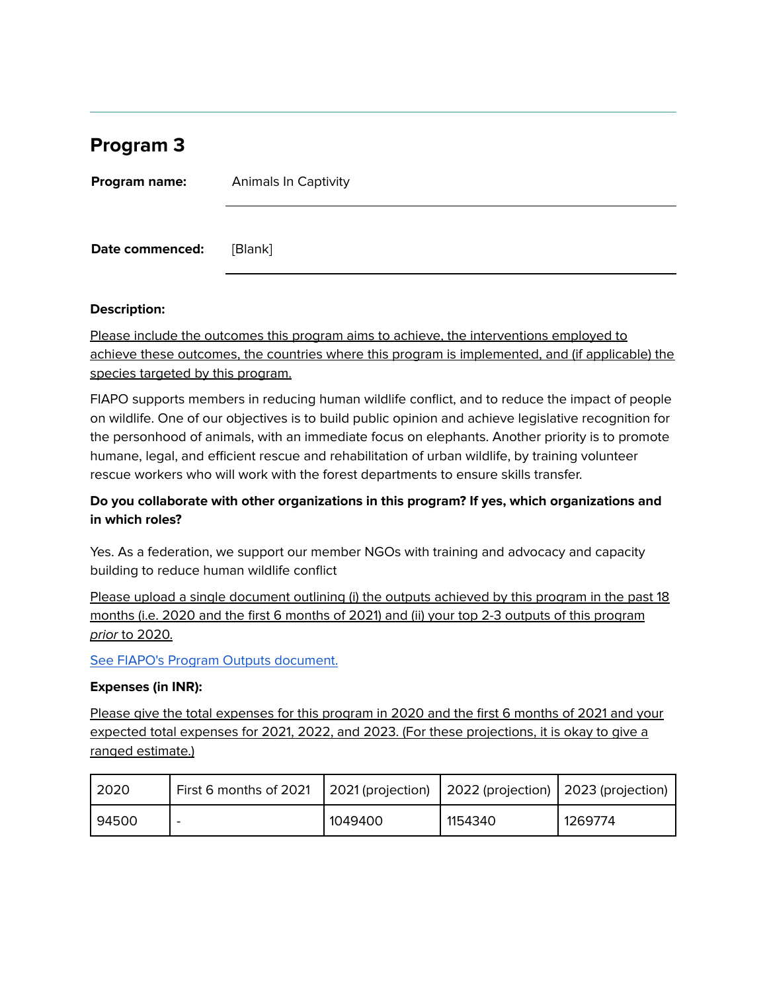## **Program 3**

| Program name:   | <b>Animals In Captivity</b> |  |  |
|-----------------|-----------------------------|--|--|
| Date commenced: | [Blank]                     |  |  |

#### **Description:**

Please include the outcomes this program aims to achieve, the interventions employed to achieve these outcomes, the countries where this program is implemented, and (if applicable) the species targeted by this program.

FIAPO supports members in reducing human wildlife conflict, and to reduce the impact of people on wildlife. One of our objectives is to build public opinion and achieve legislative recognition for the personhood of animals, with an immediate focus on elephants. Another priority is to promote humane, legal, and efficient rescue and rehabilitation of urban wildlife, by training volunteer rescue workers who will work with the forest departments to ensure skills transfer.

#### **Do you collaborate with other organizations in this program? If yes, which organizations and in which roles?**

Yes. As a federation, we support our member NGOs with training and advocacy and capacity building to reduce human wildlife conflict

Please upload a single document outlining (i) the outputs achieved by this program in the past 18 months (i.e. 2020 and the first 6 months of 2021) and (ii) your top 2-3 outputs of this program prior to 2020.

See FIAPO's Program Outputs [document.](https://animalcharityevaluators.org/wp-content/uploads/2021/11/fiapo-program-outputs-2021.pdf)

#### **Expenses (in INR):**

Please give the total expenses for this program in 2020 and the first 6 months of 2021 and your expected total expenses for 2021, 2022, and 2023. (For these projections, it is okay to give a ranged estimate.)

| 2020  | First 6 months of 2021   |         | $\vert$ 2021 (projection) $\vert$ 2022 (projection) $\vert$ 2023 (projection) |         |
|-------|--------------------------|---------|-------------------------------------------------------------------------------|---------|
| 94500 | $\overline{\phantom{0}}$ | 1049400 | 1154340                                                                       | 1269774 |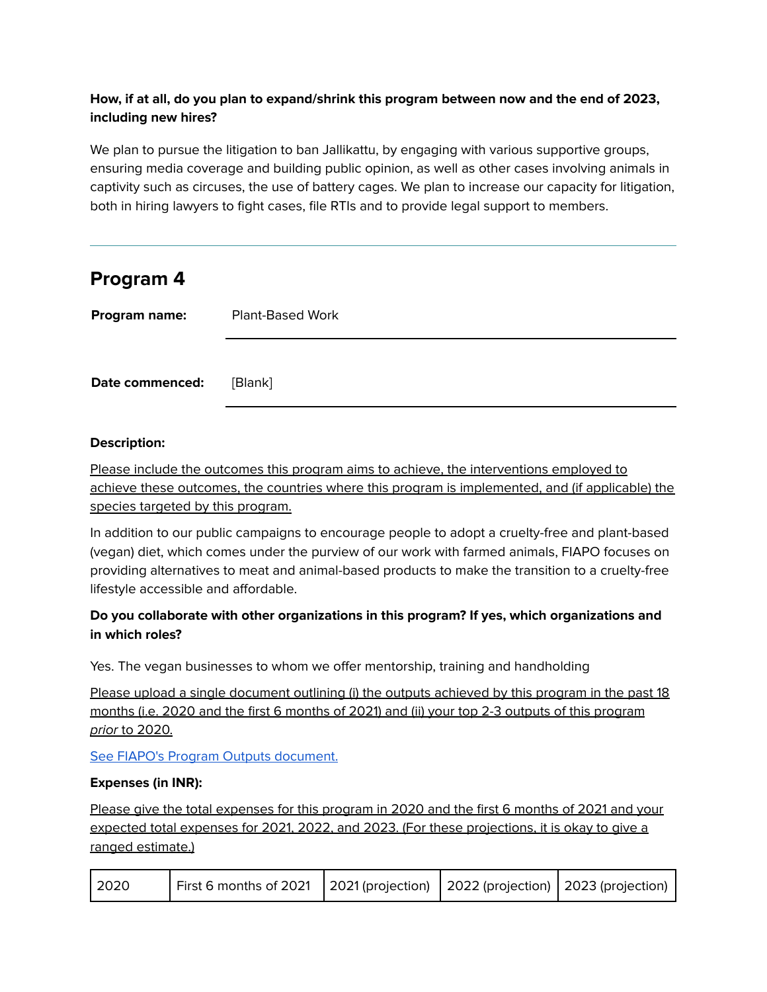## **How, if at all, do you plan to expand/shrink this program between now and the end of 2023, including new hires?**

We plan to pursue the litigation to ban Jallikattu, by engaging with various supportive groups, ensuring media coverage and building public opinion, as well as other cases involving animals in captivity such as circuses, the use of battery cages. We plan to increase our capacity for litigation, both in hiring lawyers to fight cases, file RTIs and to provide legal support to members.

## **Program 4**

| Program name:   | <b>Plant-Based Work</b> |  |  |  |
|-----------------|-------------------------|--|--|--|
|                 |                         |  |  |  |
| Date commenced: | [Blank]                 |  |  |  |

### **Description:**

Please include the outcomes this program aims to achieve, the interventions employed to achieve these outcomes, the countries where this program is implemented, and (if applicable) the species targeted by this program.

In addition to our public campaigns to encourage people to adopt a cruelty-free and plant-based (vegan) diet, which comes under the purview of our work with farmed animals, FIAPO focuses on providing alternatives to meat and animal-based products to make the transition to a cruelty-free lifestyle accessible and affordable.

## **Do you collaborate with other organizations in this program? If yes, which organizations and in which roles?**

Yes. The vegan businesses to whom we offer mentorship, training and handholding

Please upload a single document outlining (i) the outputs achieved by this program in the past 18 months (i.e. 2020 and the first 6 months of 2021) and (ii) your top 2-3 outputs of this program prior to 2020.

See FIAPO's Program Outputs [document.](https://animalcharityevaluators.org/wp-content/uploads/2021/11/fiapo-program-outputs-2021.pdf)

### **Expenses (in INR):**

Please give the total expenses for this program in 2020 and the first 6 months of 2021 and your expected total expenses for 2021, 2022, and 2023. (For these projections, it is okay to give a ranged estimate.)

| $ 2020\rangle$ | First 6 months of 2021   2021 (projection)   2022 (projection)   2023 (projection) |  |  |  |
|----------------|------------------------------------------------------------------------------------|--|--|--|
|----------------|------------------------------------------------------------------------------------|--|--|--|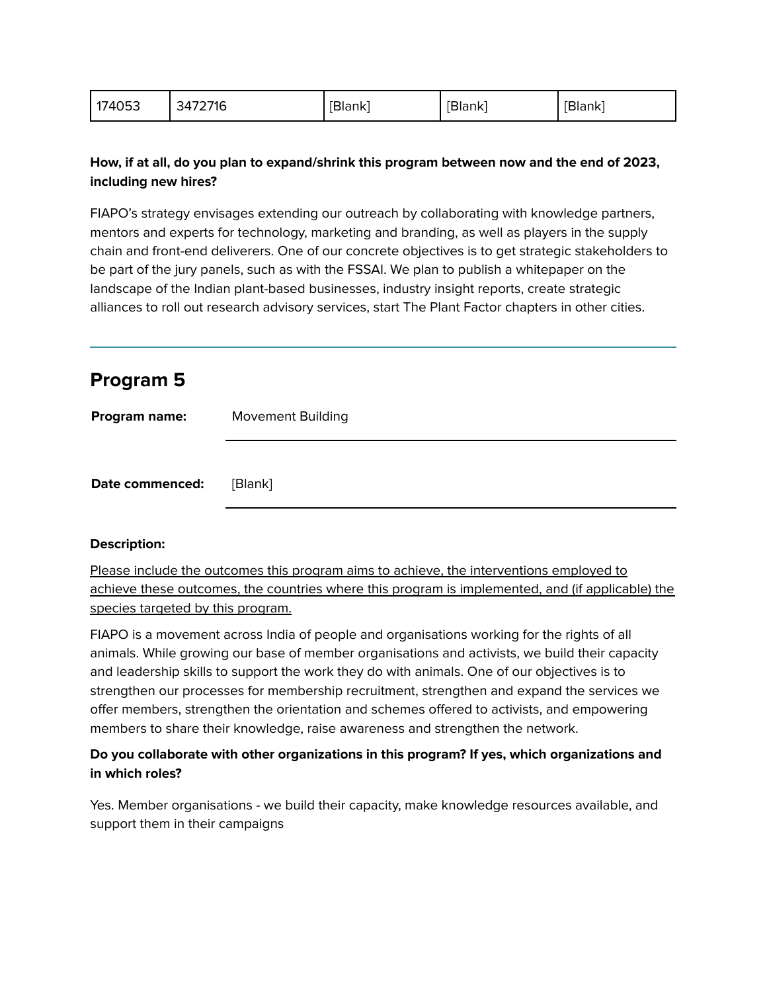| 174053 | 3472716 | [Blank] | [Blank] | <b>[Blank]</b> |
|--------|---------|---------|---------|----------------|
|--------|---------|---------|---------|----------------|

#### **How, if at all, do you plan to expand/shrink this program between now and the end of 2023, including new hires?**

FIAPO's strategy envisages extending our outreach by collaborating with knowledge partners, mentors and experts for technology, marketing and branding, as well as players in the supply chain and front-end deliverers. One of our concrete objectives is to get strategic stakeholders to be part of the jury panels, such as with the FSSAI. We plan to publish a whitepaper on the landscape of the Indian plant-based businesses, industry insight reports, create strategic alliances to roll out research advisory services, start The Plant Factor chapters in other cities.

| <b>Program 5</b> |                          |
|------------------|--------------------------|
| Program name:    | <b>Movement Building</b> |
| Date commenced:  | [Blank]                  |

#### **Description:**

Please include the outcomes this program aims to achieve, the interventions employed to achieve these outcomes, the countries where this program is implemented, and (if applicable) the species targeted by this program.

FIAPO is a movement across India of people and organisations working for the rights of all animals. While growing our base of member organisations and activists, we build their capacity and leadership skills to support the work they do with animals. One of our objectives is to strengthen our processes for membership recruitment, strengthen and expand the services we offer members, strengthen the orientation and schemes offered to activists, and empowering members to share their knowledge, raise awareness and strengthen the network.

### **Do you collaborate with other organizations in this program? If yes, which organizations and in which roles?**

Yes. Member organisations - we build their capacity, make knowledge resources available, and support them in their campaigns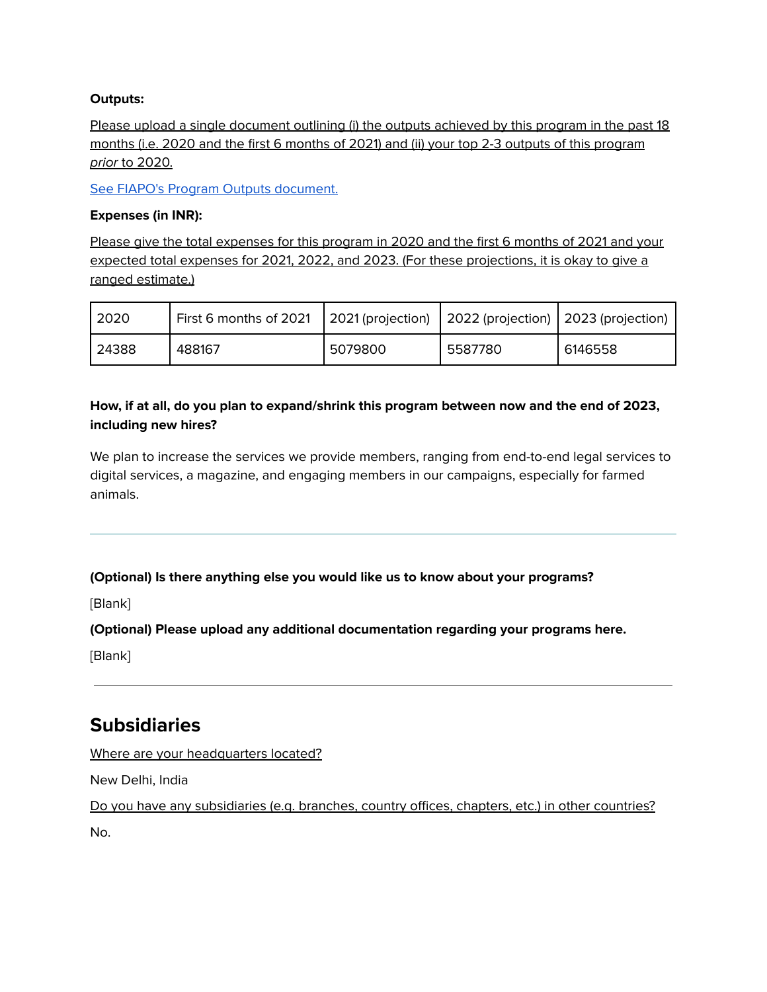#### **Outputs:**

Please upload a single document outlining (i) the outputs achieved by this program in the past 18 months (i.e. 2020 and the first 6 months of 2021) and (ii) your top 2-3 outputs of this program prior to 2020.

See FIAPO's Program Outputs [document.](https://animalcharityevaluators.org/wp-content/uploads/2021/11/fiapo-program-outputs-2021.pdf)

#### **Expenses (in INR):**

Please give the total expenses for this program in 2020 and the first 6 months of 2021 and your expected total expenses for 2021, 2022, and 2023. (For these projections, it is okay to give a ranged estimate.)

| 2020  | First 6 months of 2021 |         | 2021 (projection) 2022 (projection) 2023 (projection) |         |
|-------|------------------------|---------|-------------------------------------------------------|---------|
| 24388 | 488167                 | 5079800 | 5587780                                               | 6146558 |

### **How, if at all, do you plan to expand/shrink this program between now and the end of 2023, including new hires?**

We plan to increase the services we provide members, ranging from end-to-end legal services to digital services, a magazine, and engaging members in our campaigns, especially for farmed animals.

**(Optional) Is there anything else you would like us to know about your programs?**

[Blank]

**(Optional) Please upload any additional documentation regarding your programs here.**

[Blank]

## **Subsidiaries**

Where are your headquarters located?

New Delhi, India

Do you have any subsidiaries (e.g. branches, country offices, chapters, etc.) in other countries?

No.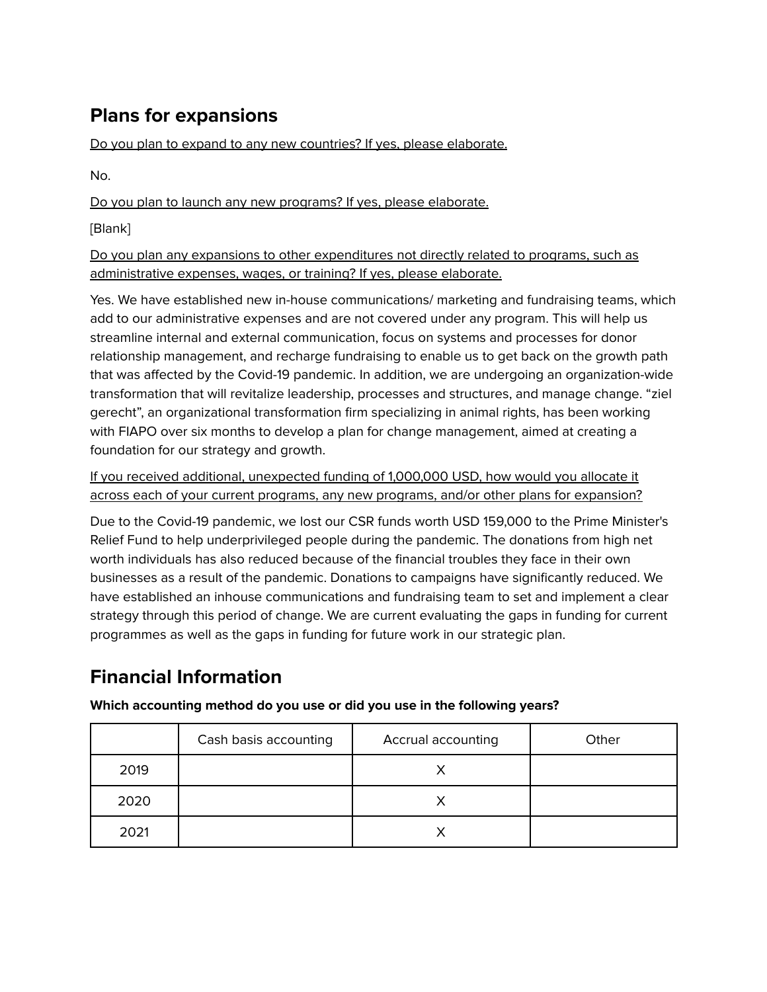# **Plans for expansions**

Do you plan to expand to any new countries? If yes, please elaborate.

No.

Do you plan to launch any new programs? If yes, please elaborate.

[Blank]

Do you plan any expansions to other expenditures not directly related to programs, such as administrative expenses, wages, or training? If yes, please elaborate.

Yes. We have established new in-house communications/ marketing and fundraising teams, which add to our administrative expenses and are not covered under any program. This will help us streamline internal and external communication, focus on systems and processes for donor relationship management, and recharge fundraising to enable us to get back on the growth path that was affected by the Covid-19 pandemic. In addition, we are undergoing an organization-wide transformation that will revitalize leadership, processes and structures, and manage change. "ziel gerecht", an organizational transformation firm specializing in animal rights, has been working with FIAPO over six months to develop a plan for change management, aimed at creating a foundation for our strategy and growth.

If you received additional, unexpected funding of 1,000,000 USD, how would you allocate it across each of your current programs, any new programs, and/or other plans for expansion?

Due to the Covid-19 pandemic, we lost our CSR funds worth USD 159,000 to the Prime Minister's Relief Fund to help underprivileged people during the pandemic. The donations from high net worth individuals has also reduced because of the financial troubles they face in their own businesses as a result of the pandemic. Donations to campaigns have significantly reduced. We have established an inhouse communications and fundraising team to set and implement a clear strategy through this period of change. We are current evaluating the gaps in funding for current programmes as well as the gaps in funding for future work in our strategic plan.

# **Financial Information**

**Which accounting method do you use or did you use in the following years?**

|      | Cash basis accounting | Accrual accounting | Other |
|------|-----------------------|--------------------|-------|
| 2019 |                       |                    |       |
| 2020 |                       |                    |       |
| 2021 |                       |                    |       |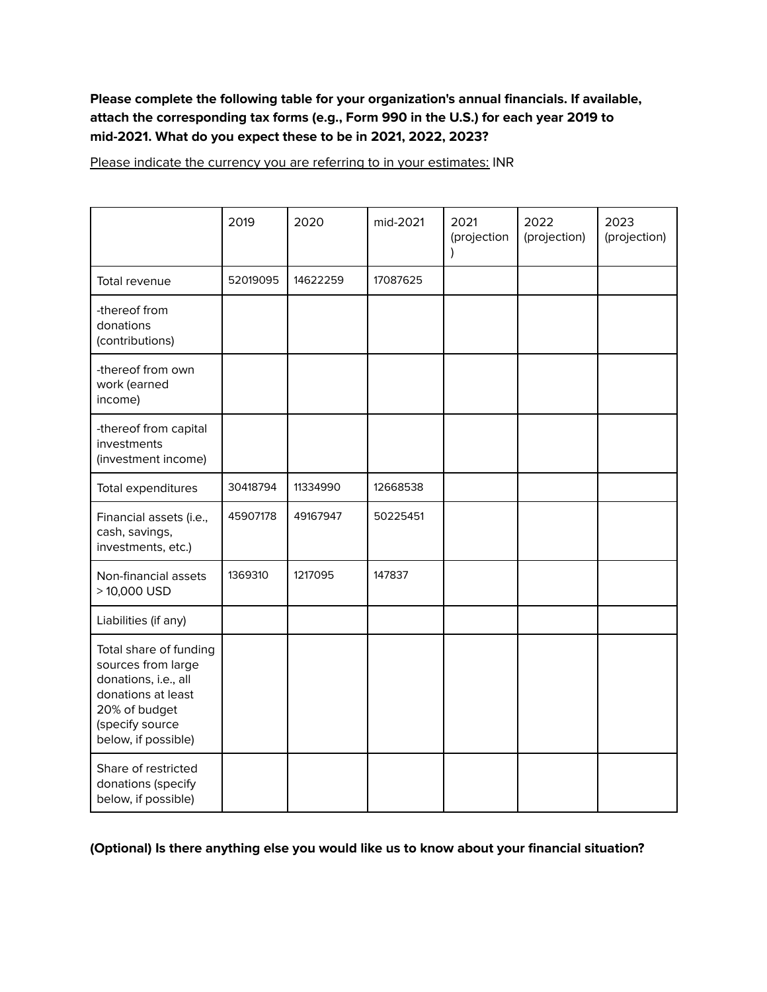### **Please complete the following table for your organization's annual financials. If available, attach the corresponding tax forms (e.g., Form 990 in the U.S.) for each year 2019 to mid-2021. What do you expect these to be in 2021, 2022, 2023?**

Please indicate the currency you are referring to in your estimates: INR

|                                                                                                                                                       | 2019     | 2020     | mid-2021 | 2021<br>(projection<br>$\lambda$ | 2022<br>(projection) | 2023<br>(projection) |
|-------------------------------------------------------------------------------------------------------------------------------------------------------|----------|----------|----------|----------------------------------|----------------------|----------------------|
| Total revenue                                                                                                                                         | 52019095 | 14622259 | 17087625 |                                  |                      |                      |
| -thereof from<br>donations<br>(contributions)                                                                                                         |          |          |          |                                  |                      |                      |
| -thereof from own<br>work (earned<br>income)                                                                                                          |          |          |          |                                  |                      |                      |
| -thereof from capital<br>investments<br>(investment income)                                                                                           |          |          |          |                                  |                      |                      |
| Total expenditures                                                                                                                                    | 30418794 | 11334990 | 12668538 |                                  |                      |                      |
| Financial assets (i.e.,<br>cash, savings,<br>investments, etc.)                                                                                       | 45907178 | 49167947 | 50225451 |                                  |                      |                      |
| Non-financial assets<br>> 10,000 USD                                                                                                                  | 1369310  | 1217095  | 147837   |                                  |                      |                      |
| Liabilities (if any)                                                                                                                                  |          |          |          |                                  |                      |                      |
| Total share of funding<br>sources from large<br>donations, i.e., all<br>donations at least<br>20% of budget<br>(specify source<br>below, if possible) |          |          |          |                                  |                      |                      |
| Share of restricted<br>donations (specify<br>below, if possible)                                                                                      |          |          |          |                                  |                      |                      |

**(Optional) Is there anything else you would like us to know about your financial situation?**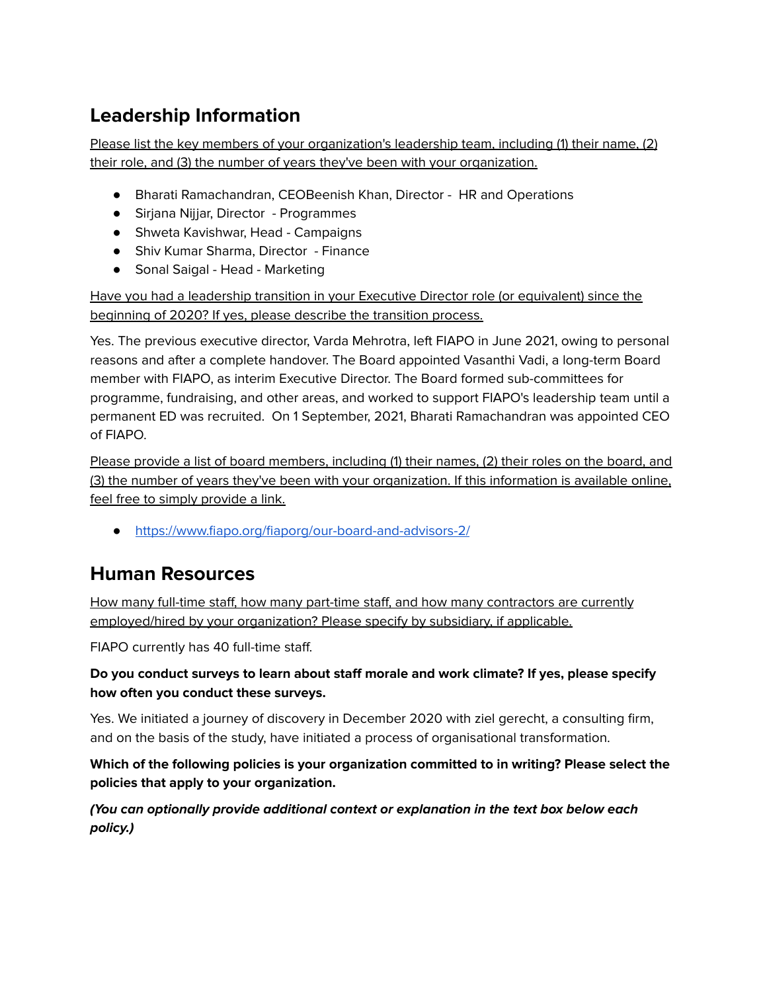# **Leadership Information**

Please list the key members of your organization's leadership team, including (1) their name, (2) their role, and (3) the number of years they've been with your organization.

- Bharati Ramachandran, CEOBeenish Khan, Director HR and Operations
- Sirjana Nijjar, Director Programmes
- Shweta Kavishwar, Head Campaigns
- Shiv Kumar Sharma, Director Finance
- Sonal Saigal Head Marketing

Have you had a leadership transition in your Executive Director role (or equivalent) since the beginning of 2020? If yes, please describe the transition process.

Yes. The previous executive director, Varda Mehrotra, left FIAPO in June 2021, owing to personal reasons and after a complete handover. The Board appointed Vasanthi Vadi, a long-term Board member with FIAPO, as interim Executive Director. The Board formed sub-committees for programme, fundraising, and other areas, and worked to support FIAPO's leadership team until a permanent ED was recruited. On 1 September, 2021, Bharati Ramachandran was appointed CEO of FIAPO.

Please provide a list of board members, including (1) their names, (2) their roles on the board, and (3) the number of years they've been with your organization. If this information is available online, feel free to simply provide a link.

● <https://www.fiapo.org/fiaporg/our-board-and-advisors-2/>

## **Human Resources**

How many full-time staff, how many part-time staff, and how many contractors are currently employed/hired by your organization? Please specify by subsidiary, if applicable.

FIAPO currently has 40 full-time staff.

## **Do you conduct surveys to learn about staff morale and work climate? If yes, please specify how often you conduct these surveys.**

Yes. We initiated a journey of discovery in December 2020 with ziel gerecht, a consulting firm, and on the basis of the study, have initiated a process of organisational transformation.

**Which of the following policies is your organization committed to in writing? Please select the policies that apply to your organization.**

**(You can optionally provide additional context or explanation in the text box below each policy.)**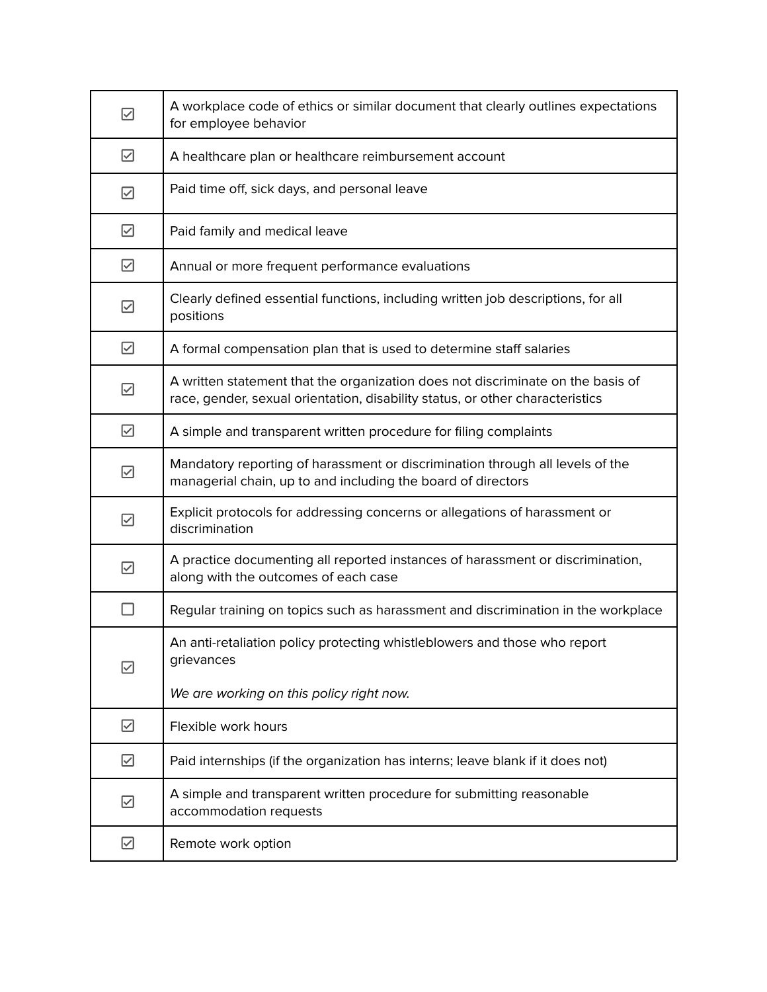| ☑         | A workplace code of ethics or similar document that clearly outlines expectations<br>for employee behavior                                                       |
|-----------|------------------------------------------------------------------------------------------------------------------------------------------------------------------|
| ☑         | A healthcare plan or healthcare reimbursement account                                                                                                            |
| ☑         | Paid time off, sick days, and personal leave                                                                                                                     |
| ☑         | Paid family and medical leave                                                                                                                                    |
| ☑         | Annual or more frequent performance evaluations                                                                                                                  |
| ☑         | Clearly defined essential functions, including written job descriptions, for all<br>positions                                                                    |
| ☑         | A formal compensation plan that is used to determine staff salaries                                                                                              |
| ☑         | A written statement that the organization does not discriminate on the basis of<br>race, gender, sexual orientation, disability status, or other characteristics |
| ☑         | A simple and transparent written procedure for filing complaints                                                                                                 |
| ☑         | Mandatory reporting of harassment or discrimination through all levels of the<br>managerial chain, up to and including the board of directors                    |
| ☑         | Explicit protocols for addressing concerns or allegations of harassment or<br>discrimination                                                                     |
| ☑         | A practice documenting all reported instances of harassment or discrimination,<br>along with the outcomes of each case                                           |
| $\Box$    | Regular training on topics such as harassment and discrimination in the workplace                                                                                |
| $\boxdot$ | An anti-retaliation policy protecting whistleblowers and those who report<br>grievances                                                                          |
|           | We are working on this policy right now.                                                                                                                         |
| ☑         | Flexible work hours                                                                                                                                              |
| ☑         | Paid internships (if the organization has interns; leave blank if it does not)                                                                                   |
| ☑         | A simple and transparent written procedure for submitting reasonable<br>accommodation requests                                                                   |
| ☑         | Remote work option                                                                                                                                               |